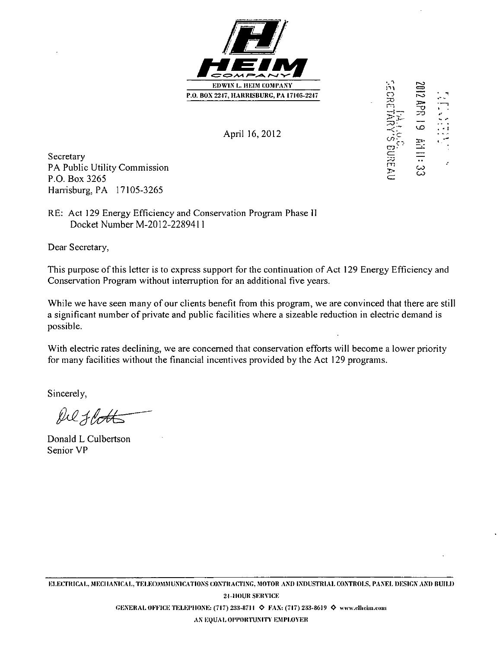

April 16, 2012 **-**

Secretary  $\Xi$   $\Xi$ PA Public Utility Commission P.O. Box 3265 Harrisburg, PA 17105-3265

RE: Act 129 Energy Efficiency and Conservation Program Phase II Docket Number M-2012-2289411

Dear Secretary,

This purpose of this letter is to express support for the continuation of Act 129 Energy Efficiency and Conservation Program without interruption for an additional five years.

While we have seen many of our clients benefit from this program, we are convinced that there are still a significant number of private and public facilities where a sizeable reduction in electric demand is possible.

With electric rates declining, we are concerned that conservation efforts will become a lower priority for many facilities without the financial incentives provided by the Act 129 programs.

Sincerely,

**MjU^ —** 

Donald L Culbertson Senior VP

**CO ~ I T '**  —<br>დ